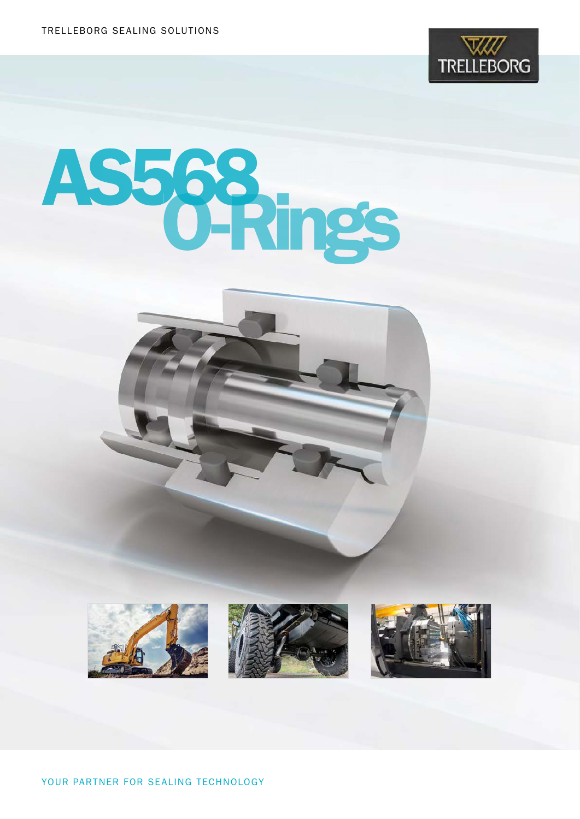

# AS568 O-Rings







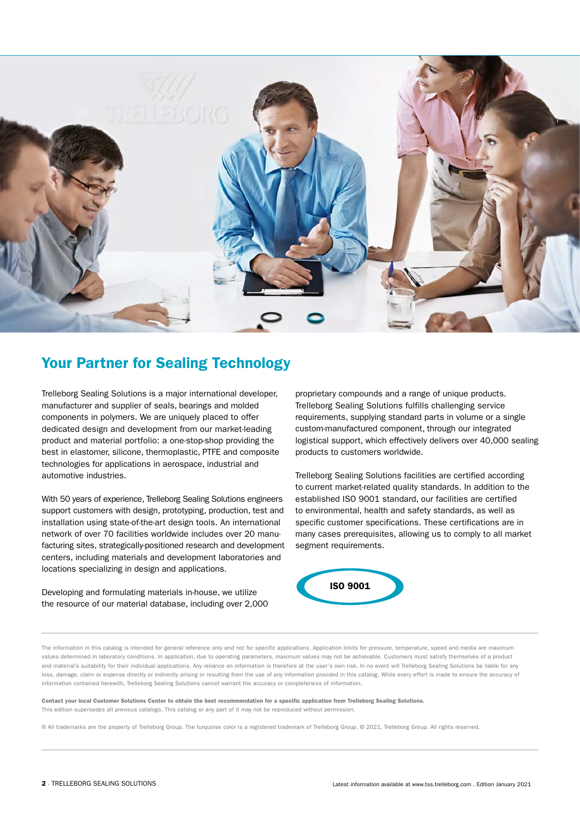

# Your Partner for Sealing Technology

Trelleborg Sealing Solutions is a major international developer, manufacturer and supplier of seals, bearings and molded components in polymers. We are uniquely placed to offer dedicated design and development from our market-leading product and material portfolio: a one-stop-shop providing the best in elastomer, silicone, thermoplastic, PTFE and composite technologies for applications in aerospace, industrial and automotive industries.

With 50 years of experience, Trelleborg Sealing Solutions engineers support customers with design, prototyping, production, test and installation using state-of-the-art design tools. An international network of over 70 facilities worldwide includes over 20 manufacturing sites, strategically-positioned research and development centers, including materials and development laboratories and locations specializing in design and applications.

Developing and formulating materials in-house, we utilize the resource of our material database, including over 2,000 proprietary compounds and a range of unique products. Trelleborg Sealing Solutions fulfills challenging service requirements, supplying standard parts in volume or a single custom-manufactured component, through our integrated logistical support, which effectively delivers over 40,000 sealing products to customers worldwide.

Trelleborg Sealing Solutions facilities are certified according to current market-related quality standards. In addition to the established ISO 9001 standard, our facilities are certified to environmental, health and safety standards, as well as specific customer specifications. These certifications are in many cases prerequisites, allowing us to comply to all market segment requirements.



The information in this catalog is intended for general reference only and not for specific applications. Application limits for pressure, temperature, speed and media are maximum values determined in laboratory conditions. In application, due to operating parameters, maximum values may not be achievable. Customers must satisfy themselves of a product and material's suitability for their individual applications. Any reliance on information is therefore at the user's own risk. In no event will Trelleborg Sealing Solutions be liable for any loss, damage, claim or expense directly or indirectly arising or resulting from the use of any information provided in this catalog. While every effort is made to ensure the accuracy of information contained herewith, Trelleborg Sealing Solutions cannot warrant the accuracy or completeness of information.

Contact your local Customer Solutions Center to obtain the best recommendation for a specific application from Trelleborg Sealing Solutions. This edition supersedes all previous catalogs. This catalog or any part of it may not be reproduced without permission.

® All trademarks are the property of Trelleborg Group. The turquoise color is a registered trademark of Trelleborg Group. © 2021, Trelleborg Group. All rights reserved.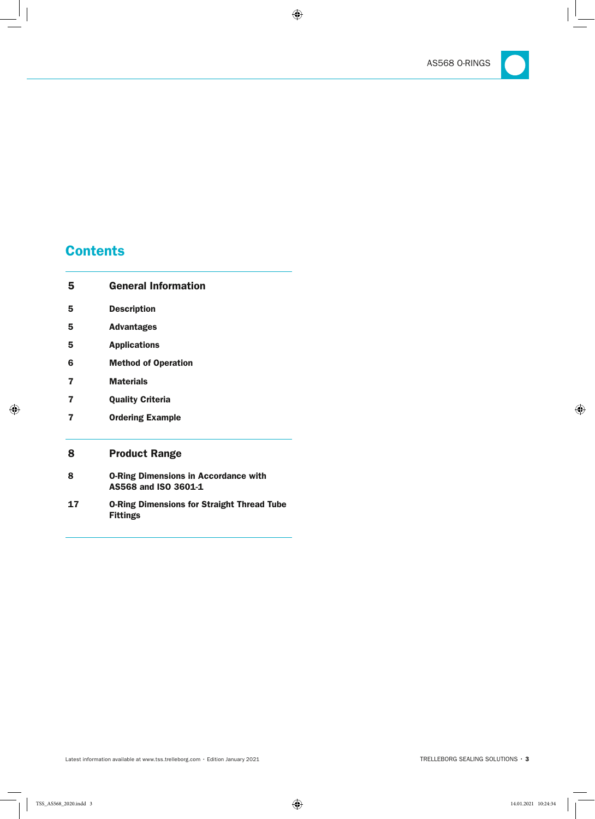

# **Contents**

L

| 5  | <b>General Information</b>                                           |
|----|----------------------------------------------------------------------|
| 5  | <b>Description</b>                                                   |
| 5  | <b>Advantages</b>                                                    |
| 5  | <b>Applications</b>                                                  |
| 6  | <b>Method of Operation</b>                                           |
| 7  | <b>Materials</b>                                                     |
| 7  | <b>Quality Criteria</b>                                              |
| 7  | <b>Ordering Example</b>                                              |
| 8  | <b>Product Range</b>                                                 |
| 8  | <b>O-Ring Dimensions in Accordance with</b><br>AS568 and ISO 3601-1  |
| 17 | <b>O-Ring Dimensions for Straight Thread Tube</b><br><b>Fittings</b> |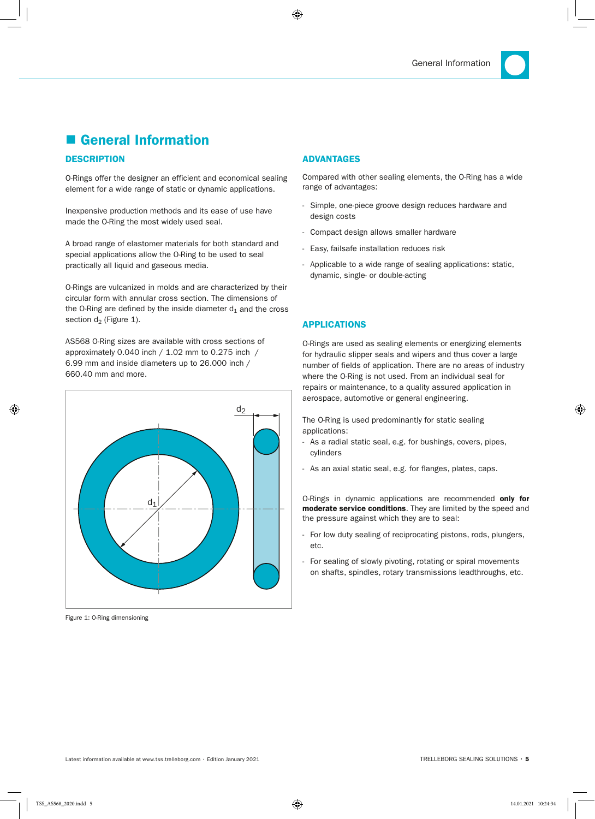# ■ General Information

#### **DESCRIPTION**

O-Rings offer the designer an efficient and economical sealing element for a wide range of static or dynamic applications.

Inexpensive production methods and its ease of use have made the O-Ring the most widely used seal.

A broad range of elastomer materials for both standard and special applications allow the O-Ring to be used to seal practically all liquid and gaseous media.

O-Rings are vulcanized in molds and are characterized by their circular form with annular cross section. The dimensions of the O-Ring are defined by the inside diameter  $d_1$  and the cross section  $d_2$  (Figure 1).

AS568 O-Ring sizes are available with cross sections of approximately 0.040 inch / 1.02 mm to 0.275 inch / 6.99 mm and inside diameters up to 26.000 inch / 660.40 mm and more.



Figure 1: O-Ring dimensioning

#### ADvAnTAGES

Compared with other sealing elements, the O-Ring has a wide range of advantages:

- Simple, one-piece groove design reduces hardware and design costs
- Compact design allows smaller hardware
- Easy, failsafe installation reduces risk
- Applicable to a wide range of sealing applications: static, dynamic, single- or double-acting

#### **APPLICATIONS**

O-Rings are used as sealing elements or energizing elements for hydraulic slipper seals and wipers and thus cover a large number of fields of application. There are no areas of industry where the O-Ring is not used. From an individual seal for repairs or maintenance, to a quality assured application in aerospace, automotive or general engineering.

The O-Ring is used predominantly for static sealing applications:

- As a radial static seal, e.g. for bushings, covers, pipes, cylinders
- As an axial static seal, e.g. for flanges, plates, caps.

O-Rings in dynamic applications are recommended only for moderate service conditions. They are limited by the speed and the pressure against which they are to seal:

- For low duty sealing of reciprocating pistons, rods, plungers, etc.
- For sealing of slowly pivoting, rotating or spiral movements on shafts, spindles, rotary transmissions leadthroughs, etc.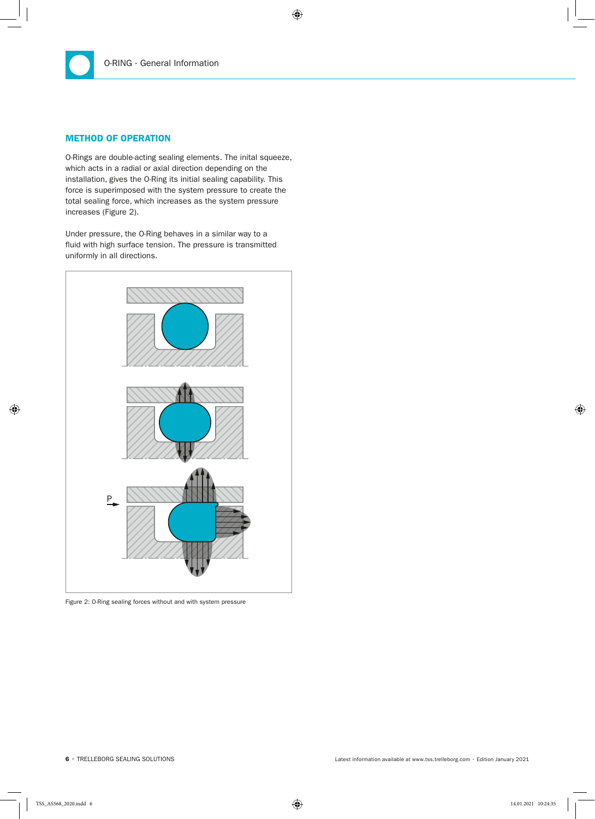#### METhOD OF OPERATIOn

O-Rings are double-acting sealing elements. The inital squeeze, which acts in a radial or axial direction depending on the installation, gives the O-Ring its initial sealing capability. This force is superimposed with the system pressure to create the total sealing force, which increases as the system pressure increases (Figure 2).

Under pressure, the O-Ring behaves in a similar way to a fluid with high surface tension. The pressure is transmitted uniformly in all directions.



Figure 2: O-Ring sealing forces without and with system pressure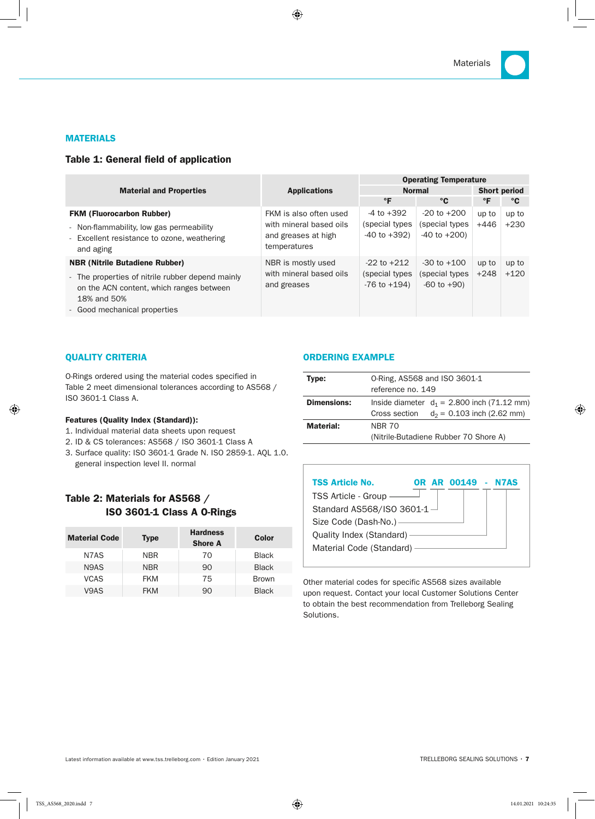#### **MATERIALS**

#### Table 1: General field of application

|                                                                                                                                                                                      |                                                                                          | <b>Operating Temperature</b>                           |                                                         |                 |                 |  |  |  |
|--------------------------------------------------------------------------------------------------------------------------------------------------------------------------------------|------------------------------------------------------------------------------------------|--------------------------------------------------------|---------------------------------------------------------|-----------------|-----------------|--|--|--|
| <b>Material and Properties</b>                                                                                                                                                       | <b>Applications</b>                                                                      |                                                        | <b>Normal</b>                                           |                 |                 |  |  |  |
|                                                                                                                                                                                      |                                                                                          | $\mathsf{P}$                                           | °C                                                      | °F              | °C              |  |  |  |
| <b>FKM (Fluorocarbon Rubber)</b><br>- Non-flammability, low gas permeability<br>- Excellent resistance to ozone, weathering<br>and aging                                             | FKM is also often used<br>with mineral based oils<br>and greases at high<br>temperatures | -4 to +392<br>(special types<br>$-40$ to $+392$ )      | $-20$ to $+200$<br>(special types)<br>$-40$ to $+200$ ) | up to<br>+446   | up to<br>$+230$ |  |  |  |
| <b>NBR (Nitrile Butadiene Rubber)</b><br>- The properties of nitrile rubber depend mainly<br>on the ACN content, which ranges between<br>18% and 50%<br>- Good mechanical properties | NBR is mostly used<br>with mineral based oils<br>and greases                             | $-22$ to $+212$<br>(special types<br>$-76$ to $+194$ ) | $-30$ to $+100$<br>(special types)<br>$-60$ to $+90$ )  | up to<br>$+248$ | up to<br>$+120$ |  |  |  |

#### QuAlITy CRITERIA

O-Rings ordered using the material codes specified in Table 2 meet dimensional tolerances according to AS568 / ISO 3601-1 Class A.

#### Features (Quality Index (Standard)):

- 1. Individual material data sheets upon request
- 2. ID & CS tolerances: AS568 / ISO 3601-1 Class A
- 3. Surface quality: ISO 3601-1 Grade N. ISO 2859-1. AQL 1.0. general inspection level II. normal

## Table 2: Materials for AS568 / ISO 3601-1 Class A O-Rings

| <b>Material Code</b>          | <b>Type</b> | <b>Hardness</b><br><b>Shore A</b> | Color        |
|-------------------------------|-------------|-----------------------------------|--------------|
| N7AS                          | <b>NBR</b>  | 70                                | <b>Black</b> |
| N <sub>9</sub> A <sub>S</sub> | <b>NBR</b>  | 90                                | <b>Black</b> |
| <b>VCAS</b>                   | <b>FKM</b>  | 75                                | <b>Brown</b> |
| V9AS                          | <b>FKM</b>  | 90                                | <b>Black</b> |

#### ORDERInG ExAMPlE

| Type:              | 0-Ring, AS568 and ISO 3601-1<br>reference no. 149                                              |  |  |  |  |  |  |
|--------------------|------------------------------------------------------------------------------------------------|--|--|--|--|--|--|
| <b>Dimensions:</b> | Inside diameter $d_1 = 2.800$ inch (71.12 mm)<br>$d_2$ = 0.103 inch (2.62 mm)<br>Cross section |  |  |  |  |  |  |
| Material:          | <b>NBR 70</b><br>(Nitrile-Butadiene Rubber 70 Shore A)                                         |  |  |  |  |  |  |

| <b>TSS Article No.</b>        | OR | AR 00149 | $\sim$ | N7AS |
|-------------------------------|----|----------|--------|------|
| <b>TSS Article - Group</b>    |    |          |        |      |
| Standard AS568/ISO 3601-1 $-$ |    |          |        |      |
| Size Code (Dash-No.) —        |    |          |        |      |
| Quality Index (Standard) -    |    |          |        |      |
| Material Code (Standard) -    |    |          |        |      |
|                               |    |          |        |      |

Other material codes for specific AS568 sizes available upon request. Contact your local Customer Solutions Center to obtain the best recommendation from Trelleborg Sealing Solutions.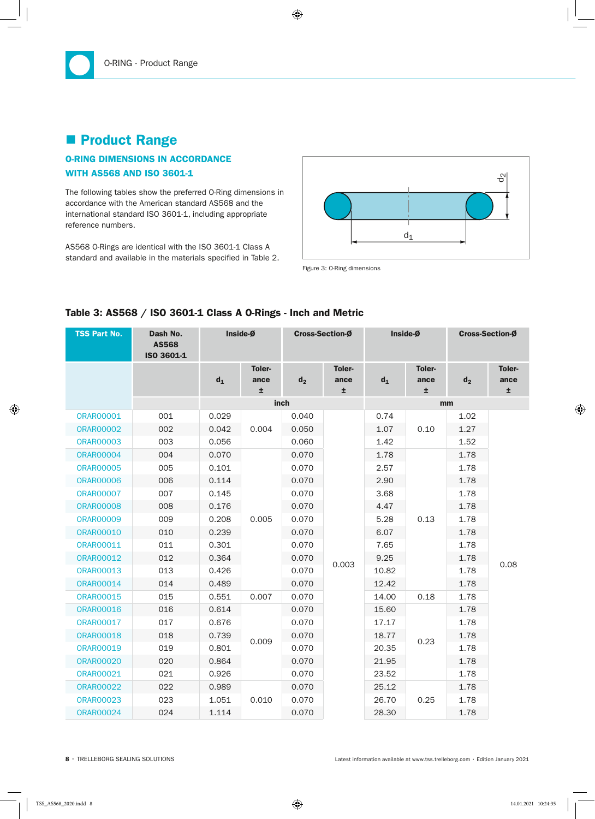# **Product Range**

## O-RInG DIMEnSIOnS In ACCORDAnCE wITh AS568 AnD ISO 3601-1

The following tables show the preferred O-Ring dimensions in accordance with the American standard AS568 and the international standard ISO 3601-1, including appropriate reference numbers.

AS568 O-Rings are identical with the ISO 3601-1 Class A standard and available in the materials specified in Table 2.



| <b>TSS Part No.</b> | Dash No.<br><b>AS568</b><br>ISO 3601-1 |       | Inside-Ø            | <b>Cross-Section-Ø</b> |                      | Inside-Ø     |                     | Cross-Section-Ø |                      |
|---------------------|----------------------------------------|-------|---------------------|------------------------|----------------------|--------------|---------------------|-----------------|----------------------|
|                     |                                        | $d_1$ | Toler-<br>ance<br>Ŧ | d <sub>2</sub>         | Toler-<br>ance<br>±. | $d_1$        | Toler-<br>ance<br>Ŧ | d <sub>2</sub>  | Toler-<br>ance<br>±. |
|                     |                                        |       |                     | inch                   |                      |              |                     | mm              |                      |
| <b>ORAR00001</b>    | 001                                    | 0.029 |                     | 0.040                  |                      | 0.74         |                     | 1.02            |                      |
| <b>ORAR00002</b>    | 002                                    | 0.042 | 0.004               | 0.050                  |                      | 1.07         | 0.10                | 1.27            |                      |
| <b>ORAR00003</b>    | 003                                    | 0.056 |                     | 0.060                  |                      | 1.42         |                     | 1.52            |                      |
| <b>ORAR00004</b>    | 004                                    | 0.070 |                     | 0.070                  |                      | 1.78         |                     | 1.78            |                      |
| <b>ORAR00005</b>    | 005                                    | 0.101 |                     | 0.070                  |                      | 2.57         |                     | 1.78            |                      |
| <b>ORAR00006</b>    | 006                                    | 0.114 | 0.005               | 0.070                  |                      | 2.90         |                     | 1.78            |                      |
| <b>ORAR00007</b>    | 007                                    | 0.145 |                     | 0.070                  |                      | 3.68         |                     | 1.78            |                      |
| <b>ORAR00008</b>    | 008                                    | 0.176 |                     | 0.070                  |                      | 4.47         |                     | 1.78            |                      |
| <b>ORAR00009</b>    | 009                                    | 0.208 |                     | 0.070                  |                      | 5.28<br>6.07 | 0.13                | 1.78            |                      |
| <b>ORAR00010</b>    | 010                                    | 0.239 |                     | 0.070                  |                      |              |                     | 1.78            |                      |
| <b>ORAR00011</b>    | 011                                    | 0.301 |                     | 0.070                  |                      | 7.65         |                     | 1.78            |                      |
| <b>ORAR00012</b>    | 012                                    | 0.364 |                     | 0.070                  | 0.003                | 9.25         |                     | 1.78            | 0.08                 |
| <b>ORAR00013</b>    | 013                                    | 0.426 |                     | 0.070                  |                      | 10.82        |                     | 1.78            |                      |
| <b>ORAR00014</b>    | 014                                    | 0.489 |                     | 0.070                  |                      | 12.42        |                     | 1.78            |                      |
| <b>ORAR00015</b>    | 015                                    | 0.551 | 0.007               | 0.070                  |                      | 14.00        | 0.18                | 1.78            |                      |
| <b>ORAR00016</b>    | 016                                    | 0.614 |                     | 0.070                  |                      | 15.60        |                     | 1.78            |                      |
| <b>ORAR00017</b>    | 017                                    | 0.676 |                     | 0.070                  |                      | 17.17        |                     | 1.78            |                      |
| <b>ORAR00018</b>    | 018                                    | 0.739 | 0.009               | 0.070                  |                      | 18.77        | 0.23                | 1.78            |                      |
| <b>ORAR00019</b>    | 019                                    | 0.801 |                     | 0.070                  |                      | 20.35        |                     | 1.78            |                      |
| <b>ORAR00020</b>    | 020                                    | 0.864 |                     | 0.070                  |                      | 21.95        |                     | 1.78            |                      |
| <b>ORAR00021</b>    | 021                                    | 0.926 |                     | 0.070                  |                      | 23.52        |                     | 1.78            |                      |
| <b>ORAR00022</b>    | 022                                    | 0.989 |                     | 0.070                  |                      | 25.12        |                     | 1.78            |                      |
| <b>ORAR00023</b>    | 023                                    | 1.051 | 0.010               | 0.070                  |                      | 26.70        | 0.25                | 1.78            |                      |
| <b>ORAR00024</b>    | 024                                    | 1.114 |                     | 0.070                  |                      | 28.30        |                     | 1.78            |                      |

## Table 3: AS568 / ISO 3601-1 Class A O-Rings - Inch and Metric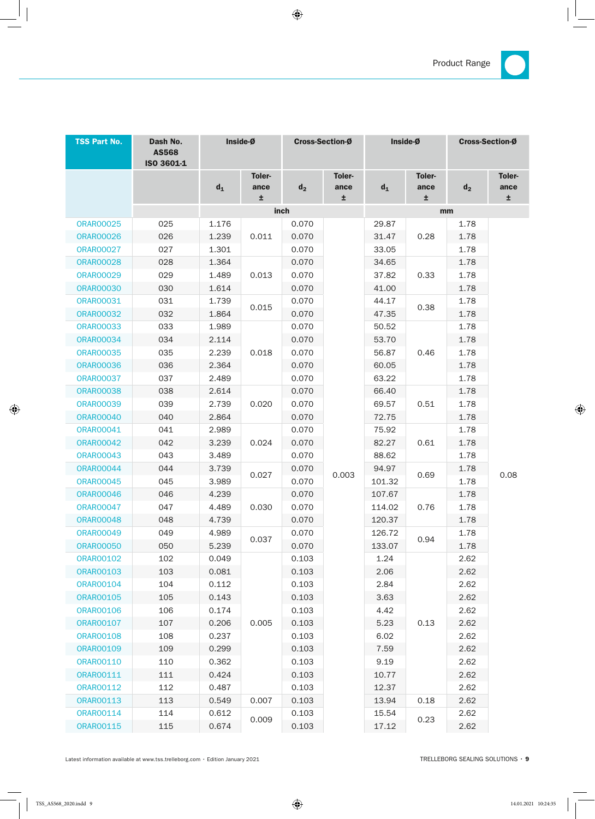

| <b>TSS Part No.</b> | Dash No.<br><b>AS568</b><br>ISO 3601-1 | Inside-Ø |                | <b>Cross-Section-Ø</b> |                | Inside-Ø       |                | <b>Cross-Section-Ø</b> |                |
|---------------------|----------------------------------------|----------|----------------|------------------------|----------------|----------------|----------------|------------------------|----------------|
|                     |                                        | $d_1$    | Toler-<br>ance | d <sub>2</sub>         | Toler-<br>ance | $d_1$          | Toler-<br>ance | $d_2$                  | Toler-<br>ance |
|                     |                                        |          | ±.             | inch                   | Ŧ              |                | ±.             | mm                     | ±.             |
| <b>ORAR00025</b>    | 025                                    | 1.176    |                | 0.070                  |                | 29.87          |                | 1.78                   |                |
| <b>ORAR00026</b>    | 026                                    | 1.239    | 0.011          | 0.070                  |                | 31.47          | 0.28           | 1.78                   |                |
| <b>ORAR00027</b>    | 027                                    | 1.301    |                | 0.070                  |                | 33.05          |                | 1.78                   |                |
| <b>ORAR00028</b>    | 028                                    | 1.364    |                | 0.070                  |                | 34.65          |                | 1.78                   |                |
| <b>ORAR00029</b>    | 029                                    | 1.489    | 0.013          | 0.070                  |                | 37.82          | 0.33           | 1.78                   |                |
| <b>ORAR00030</b>    | 030                                    | 1.614    |                | 0.070                  |                | 41.00          |                | 1.78                   |                |
| <b>ORAR00031</b>    | 031                                    | 1.739    |                | 0.070                  |                | 44.17          |                | 1.78                   |                |
| <b>ORAR00032</b>    | 032                                    | 1.864    | 0.015          | 0.070                  |                | 47.35          | 0.38           | 1.78                   |                |
| <b>ORAR00033</b>    | 033                                    | 1.989    |                | 0.070                  |                | 50.52          |                | 1.78                   |                |
| <b>ORAR00034</b>    | 034                                    | 2.114    |                | 0.070                  |                | 53.70          |                | 1.78                   |                |
| <b>ORAR00035</b>    | 035                                    | 2.239    | 0.018          | 0.070                  |                | 56.87          | 0.46           | 1.78                   |                |
| <b>ORAR00036</b>    | 036                                    | 2.364    |                | 0.070                  |                | 60.05          |                | 1.78                   |                |
| <b>ORAR00037</b>    | 037                                    | 2.489    |                | 0.070                  |                | 63.22          |                | 1.78                   |                |
| <b>ORAR00038</b>    | 038                                    | 2.614    | 0.020          | 0.070                  |                | 66.40          |                | 1.78                   |                |
| <b>ORAR00039</b>    | 039                                    | 2.739    |                | 0.070                  |                | 69.57          | 0.51           | 1.78                   |                |
| <b>ORAR00040</b>    | 040                                    | 2.864    |                | 0.070                  |                | 72.75          |                | 1.78                   |                |
| <b>ORAR00041</b>    | 041                                    | 2.989    |                | 0.070                  |                | 75.92<br>82.27 |                | 1.78                   |                |
| <b>ORAR00042</b>    | 042                                    | 3.239    | 0.024          | 0.070                  |                |                | 0.61           | 1.78                   |                |
| <b>ORAR00043</b>    | 043                                    | 3.489    |                | 0.070                  |                | 88.62          |                | 1.78                   |                |
| <b>ORAR00044</b>    | 044                                    | 3.739    | 0.027          | 0.070                  | 0.003          | 94.97          | 0.69           | 1.78                   | 0.08           |
| <b>ORAR00045</b>    | 045                                    | 3.989    |                | 0.070                  |                | 101.32         |                | 1.78                   |                |
| <b>ORAR00046</b>    | 046                                    | 4.239    |                | 0.070                  |                | 107.67         |                | 1.78                   |                |
| <b>ORAR00047</b>    | 047                                    | 4.489    | 0.030          | 0.070                  |                | 114.02         | 0.76           | 1.78                   |                |
| <b>ORAR00048</b>    | 048                                    | 4.739    |                | 0.070                  |                | 120.37         |                | 1.78                   |                |
| <b>ORAR00049</b>    | 049                                    | 4.989    | 0.037          | 0.070                  |                | 126.72         | 0.94           | 1.78                   |                |
| <b>ORAR00050</b>    | 050                                    | 5.239    |                | 0.070                  |                | 133.07         |                | 1.78                   |                |
| <b>ORAR00102</b>    | 102                                    | 0.049    |                | 0.103                  |                | 1.24           |                | 2.62                   |                |
| <b>ORAR00103</b>    | 103                                    | 0.081    |                | 0.103                  |                | 2.06           |                | 2.62                   |                |
| <b>ORAR00104</b>    | 104                                    | 0.112    |                | 0.103                  |                | 2.84           |                | 2.62                   |                |
| <b>ORAR00105</b>    | 105                                    | 0.143    |                | 0.103                  |                | 3.63           |                | 2.62                   |                |
| <b>ORAR00106</b>    | 106                                    | 0.174    |                | 0.103                  |                | 4.42           |                | 2.62                   |                |
| <b>ORAR00107</b>    | 107                                    | 0.206    | 0.005          | 0.103                  |                | 5.23           | 0.13           | 2.62                   |                |
| <b>ORAR00108</b>    | 108                                    | 0.237    |                | 0.103                  |                | 6.02           |                | 2.62                   |                |
| <b>ORAR00109</b>    | 109                                    | 0.299    |                | 0.103                  |                | 7.59           |                | 2.62                   |                |
| <b>ORAR00110</b>    | 110                                    | 0.362    |                | 0.103                  |                | 9.19           |                | 2.62                   |                |
| ORAR00111           | 111                                    | 0.424    |                | 0.103                  |                | 10.77          |                | 2.62                   |                |
| <b>ORAR00112</b>    | 112                                    | 0.487    |                | 0.103                  |                | 12.37          |                | 2.62                   |                |
| <b>ORAR00113</b>    | 113                                    | 0.549    | 0.007          | 0.103                  |                | 13.94          | 0.18           | 2.62                   |                |
| <b>ORAR00114</b>    | 114                                    | 0.612    | 0.009          | 0.103                  |                | 15.54          | 0.23           | 2.62                   |                |
| <b>ORAR00115</b>    | 115                                    | 0.674    |                | 0.103                  |                | 17.12          |                | 2.62                   |                |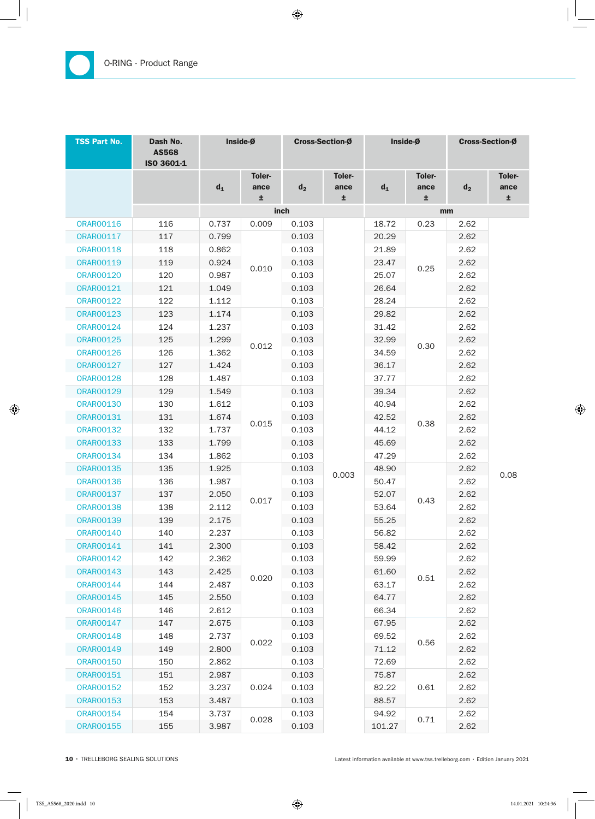| <b>TSS Part No.</b> | Dash No.<br><b>AS568</b><br>ISO 3601-1 | Inside-Ø |                            | <b>Cross-Section-Ø</b> |                      | Inside-Ø |                     | Cross-Section-Ø |                      |
|---------------------|----------------------------------------|----------|----------------------------|------------------------|----------------------|----------|---------------------|-----------------|----------------------|
|                     |                                        | $d_1$    | <b>Toler-</b><br>ance<br>Ŧ | $d_2$                  | Toler-<br>ance<br>Ŧ. | $d_1$    | Toler-<br>ance<br>Ŧ | $d_2$           | Toler-<br>ance<br>Ŧ. |
|                     |                                        |          |                            | inch                   |                      |          | mm                  |                 |                      |
| <b>ORAR00116</b>    | 116                                    | 0.737    | 0.009                      | 0.103                  |                      | 18.72    | 0.23                | 2.62            |                      |
| <b>ORAR00117</b>    | 117                                    | 0.799    |                            | 0.103                  |                      | 20.29    |                     | 2.62            |                      |
| <b>ORAR00118</b>    | 118                                    | 0.862    |                            | 0.103                  |                      | 21.89    |                     | 2.62            |                      |
| <b>ORAR00119</b>    | 119                                    | 0.924    | 0.010                      | 0.103                  |                      | 23.47    | 0.25                | 2.62            |                      |
| <b>ORAR00120</b>    | 120                                    | 0.987    |                            | 0.103                  |                      | 25.07    |                     | 2.62            |                      |
| <b>ORAR00121</b>    | 121                                    | 1.049    |                            | 0.103                  |                      | 26.64    |                     | 2.62            |                      |
| <b>ORAR00122</b>    | 122                                    | 1.112    |                            | 0.103                  |                      | 28.24    |                     | 2.62            |                      |
| <b>ORAR00123</b>    | 123                                    | 1.174    |                            | 0.103                  |                      | 29.82    |                     | 2.62            |                      |
| <b>ORAR00124</b>    | 124                                    | 1.237    |                            | 0.103                  |                      | 31.42    |                     | 2.62            |                      |
| <b>ORAR00125</b>    | 125                                    | 1.299    | 0.012                      | 0.103                  |                      | 32.99    | 0.30                | 2.62            |                      |
| <b>ORAR00126</b>    | 126                                    | 1.362    |                            | 0.103                  |                      | 34.59    |                     | 2.62            |                      |
| <b>ORAR00127</b>    | 127                                    | 1.424    |                            | 0.103                  |                      | 36.17    |                     | 2.62            |                      |
| <b>ORAR00128</b>    | 128                                    | 1.487    |                            | 0.103                  |                      | 37.77    |                     | 2.62            |                      |
| <b>ORAR00129</b>    | 129                                    | 1.549    |                            | 0.103                  |                      | 39.34    |                     | 2.62            |                      |
| <b>ORAR00130</b>    | 130                                    | 1.612    |                            | 0.103                  |                      | 40.94    | 0.38                | 2.62            |                      |
| <b>ORAR00131</b>    | 131                                    | 1.674    | 0.015                      | 0.103                  |                      | 42.52    |                     | 2.62            |                      |
| <b>ORAR00132</b>    | 132                                    | 1.737    |                            | 0.103                  |                      | 44.12    |                     | 2.62            |                      |
| <b>ORAR00133</b>    | 133                                    | 1.799    |                            | 0.103                  |                      | 45.69    |                     | 2.62            |                      |
| <b>ORAR00134</b>    | 134                                    | 1.862    |                            | 0.103                  |                      | 47.29    |                     | 2.62            |                      |
| <b>ORAR00135</b>    | 135                                    | 1.925    |                            | 0.103                  | 0.003                | 48.90    |                     | 2.62            | 0.08                 |
| <b>ORAR00136</b>    | 136                                    | 1.987    |                            | 0.103                  |                      | 50.47    |                     | 2.62            |                      |
| <b>ORAR00137</b>    | 137                                    | 2.050    | 0.017                      | 0.103                  |                      | 52.07    | 0.43                | 2.62            |                      |
| <b>ORAR00138</b>    | 138                                    | 2.112    |                            | 0.103                  |                      | 53.64    |                     | 2.62            |                      |
| <b>ORAR00139</b>    | 139                                    | 2.175    |                            | 0.103                  |                      | 55.25    |                     | 2.62            |                      |
| <b>ORAR00140</b>    | 140                                    | 2.237    |                            | 0.103                  |                      | 56.82    |                     | 2.62            |                      |
| <b>ORAR00141</b>    | 141                                    | 2.300    |                            | 0.103                  |                      | 58.42    |                     | 2.62            |                      |
| <b>ORAR00142</b>    | 142                                    | 2.362    |                            | 0.103                  |                      | 59.99    |                     | 2.62            |                      |
| <b>ORAR00143</b>    | 143                                    | 2.425    | 0.020                      | 0.103                  |                      | 61.60    | 0.51                | 2.62            |                      |
| <b>ORAR00144</b>    | 144                                    | 2.487    |                            | 0.103                  |                      | 63.17    |                     | 2.62            |                      |
| <b>ORAR00145</b>    | 145                                    | 2.550    |                            | 0.103                  |                      | 64.77    |                     | 2.62            |                      |
| <b>ORAR00146</b>    | 146                                    | 2.612    |                            | 0.103                  |                      | 66.34    |                     | 2.62            |                      |
| <b>ORAR00147</b>    | 147                                    | 2.675    |                            | 0.103                  |                      | 67.95    |                     | 2.62            |                      |
| <b>ORAR00148</b>    | 148                                    | 2.737    |                            | 0.103                  |                      | 69.52    |                     | 2.62            |                      |
| <b>ORAR00149</b>    | 149                                    | 2.800    | 0.022                      | 0.103                  |                      | 71.12    | 0.56                | 2.62            |                      |
| <b>ORAR00150</b>    | 150                                    | 2.862    |                            | 0.103                  |                      | 72.69    |                     | 2.62            |                      |
| <b>ORAR00151</b>    | 151                                    | 2.987    |                            | 0.103                  |                      | 75.87    |                     | 2.62            |                      |
| <b>ORAR00152</b>    | 152                                    | 3.237    | 0.024                      | 0.103                  |                      | 82.22    | 0.61                | 2.62            |                      |
| <b>ORAR00153</b>    | 153                                    | 3.487    |                            | 0.103                  |                      | 88.57    |                     | 2.62            |                      |
| <b>ORAR00154</b>    | 154                                    | 3.737    |                            | 0.103                  |                      | 94.92    |                     | 2.62            |                      |
| <b>ORAR00155</b>    | 155                                    | 3.987    | 0.028                      | 0.103                  |                      | 101.27   | 0.71                | 2.62            |                      |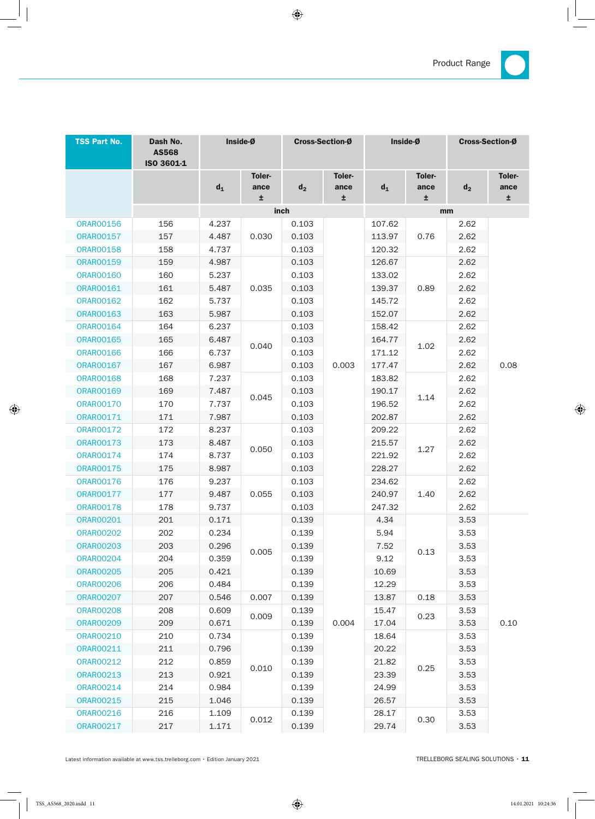

| <b>TSS Part No.</b> | Dash No.<br><b>AS568</b><br>ISO 3601-1 | Inside-Ø |                      | <b>Cross-Section-Ø</b> |                | Inside-Ø |                     | <b>Cross-Section-Ø</b> |                       |
|---------------------|----------------------------------------|----------|----------------------|------------------------|----------------|----------|---------------------|------------------------|-----------------------|
|                     |                                        | $d_1$    | Toler-<br>ance<br>±. | $d_2$                  | Toler-<br>ance | $d_1$    | Toler-<br>ance<br>士 | $d_2$                  | <b>Toler-</b><br>ance |
|                     |                                        |          |                      | inch                   | ±.             |          | mm                  |                        | ±.                    |
| <b>ORAR00156</b>    | 156                                    | 4.237    |                      | 0.103                  |                | 107.62   |                     | 2.62                   |                       |
| <b>ORAR00157</b>    | 157                                    | 4.487    | 0.030                | 0.103                  |                | 113.97   | 0.76                | 2.62                   |                       |
| <b>ORAR00158</b>    | 158                                    | 4.737    |                      | 0.103                  |                | 120.32   |                     | 2.62                   |                       |
| <b>ORAR00159</b>    | 159                                    | 4.987    |                      | 0.103                  |                | 126.67   |                     | 2.62                   |                       |
| <b>ORAR00160</b>    | 160                                    | 5.237    |                      | 0.103                  |                | 133.02   |                     | 2.62                   |                       |
| <b>ORAR00161</b>    | 161                                    | 5.487    | 0.035                | 0.103                  |                | 139.37   | 0.89                | 2.62                   |                       |
| <b>ORAR00162</b>    | 162                                    | 5.737    |                      | 0.103                  |                | 145.72   |                     | 2.62                   |                       |
| <b>ORAR00163</b>    | 163                                    | 5.987    |                      | 0.103                  |                | 152.07   |                     | 2.62                   |                       |
| <b>ORAR00164</b>    | 164                                    | 6.237    |                      | 0.103                  |                | 158.42   |                     | 2.62                   |                       |
| <b>ORAR00165</b>    | 165                                    | 6.487    |                      | 0.103                  |                | 164.77   |                     | 2.62                   |                       |
| <b>ORAR00166</b>    | 166                                    | 6.737    | 0.040                | 0.103                  |                | 171.12   | 1.02                | 2.62                   | 0.08                  |
| <b>ORAR00167</b>    | 167                                    | 6.987    |                      | 0.103                  | 0.003          | 177.47   |                     | 2.62                   |                       |
| <b>ORAR00168</b>    | 168                                    | 7.237    |                      | 0.103                  |                | 183.82   |                     | 2.62                   |                       |
| <b>ORAR00169</b>    | 169                                    | 7.487    |                      | 0.103                  |                | 190.17   | 1.14                | 2.62                   |                       |
| <b>ORAR00170</b>    | 170                                    | 7.737    | 0.045                | 0.103                  |                | 196.52   |                     | 2.62                   |                       |
| ORAR00171           | 171                                    | 7.987    |                      | 0.103                  |                | 202.87   |                     | 2.62                   |                       |
| <b>ORAR00172</b>    | 172                                    | 8.237    |                      | 0.103                  |                | 209.22   |                     | 2.62                   |                       |
| <b>ORAR00173</b>    | 173                                    | 8.487    | 0.050                | 0.103                  |                | 215.57   | 1.27                | 2.62                   |                       |
| <b>ORAR00174</b>    | 174                                    | 8.737    |                      | 0.103                  |                | 221.92   |                     | 2.62                   |                       |
| <b>ORAR00175</b>    | 175                                    | 8.987    |                      | 0.103                  |                | 228.27   |                     | 2.62                   |                       |
| <b>ORAR00176</b>    | 176                                    | 9.237    |                      | 0.103                  |                | 234.62   |                     | 2.62                   |                       |
| <b>ORAR00177</b>    | 177                                    | 9.487    | 0.055                | 0.103                  |                | 240.97   | 1.40                | 2.62                   |                       |
| <b>ORAR00178</b>    | 178                                    | 9.737    |                      | 0.103                  |                | 247.32   |                     | 2.62                   |                       |
| <b>ORAR00201</b>    | 201                                    | 0.171    |                      | 0.139                  |                | 4.34     |                     | 3.53                   |                       |
| <b>ORAR00202</b>    | 202                                    | 0.234    |                      | 0.139                  |                | 5.94     |                     | 3.53                   |                       |
| <b>ORAR00203</b>    | 203                                    | 0.296    | 0.005                | 0.139                  |                | 7.52     | 0.13                | 3.53                   |                       |
| <b>ORAR00204</b>    | 204                                    | 0.359    |                      | 0.139                  |                | 9.12     |                     | 3.53                   |                       |
| <b>ORAR00205</b>    | 205                                    | 0.421    |                      | 0.139                  |                | 10.69    |                     | 3.53                   |                       |
| <b>ORAR00206</b>    | 206                                    | 0.484    |                      | 0.139                  |                | 12.29    |                     | 3.53                   |                       |
| <b>ORAR00207</b>    | 207                                    | 0.546    | 0.007                | 0.139                  |                | 13.87    | 0.18                | 3.53                   |                       |
| <b>ORAR00208</b>    | 208                                    | 0.609    | 0.009                | 0.139                  |                | 15.47    | 0.23                | 3.53                   |                       |
| <b>ORAR00209</b>    | 209                                    | 0.671    |                      | 0.139                  | 0.004          | 17.04    |                     | 3.53                   | 0.10                  |
| <b>ORAR00210</b>    | 210                                    | 0.734    |                      | 0.139                  |                | 18.64    |                     | 3.53                   |                       |
| <b>ORAR00211</b>    | 211                                    | 0.796    |                      | 0.139                  |                | 20.22    |                     | 3.53                   |                       |
| <b>ORAR00212</b>    | 212                                    | 0.859    | 0.010                | 0.139                  |                | 21.82    | 0.25                | 3.53                   |                       |
| <b>ORAR00213</b>    | 213                                    | 0.921    |                      | 0.139                  |                | 23.39    |                     | 3.53                   |                       |
| <b>ORAR00214</b>    | 214                                    | 0.984    |                      | 0.139                  |                | 24.99    |                     | 3.53                   |                       |
| <b>ORAR00215</b>    | 215                                    | 1.046    |                      | 0.139                  |                | 26.57    |                     | 3.53                   |                       |
| <b>ORAR00216</b>    | 216                                    | 1.109    | 0.012                | 0.139                  |                | 28.17    | 0.30                | 3.53                   |                       |
| <b>ORAR00217</b>    | 217                                    | 1.171    |                      | 0.139                  |                | 29.74    |                     | 3.53                   |                       |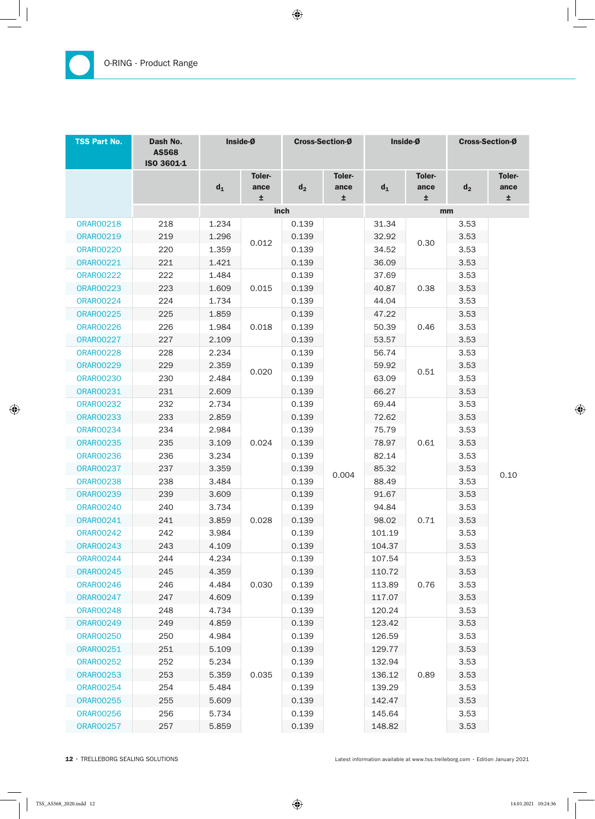| <b>TSS Part No.</b> | Dash No.<br><b>AS568</b><br>ISO 3601-1 | Inside-Ø |                     | Cross-Section-Ø |                     | Inside-Ø |                            | Cross-Section-Ø |                             |
|---------------------|----------------------------------------|----------|---------------------|-----------------|---------------------|----------|----------------------------|-----------------|-----------------------------|
|                     |                                        | $d_1$    | Toler-<br>ance<br>Ŧ | $d_2$           | Toler-<br>ance<br>± | $d_1$    | <b>Toler-</b><br>ance<br>Ŧ | $d_2$           | <b>Toler-</b><br>ance<br>Ŧ. |
|                     |                                        |          |                     | inch            |                     |          |                            | mm              |                             |
| <b>ORAR00218</b>    | 218                                    | 1.234    |                     | 0.139           |                     | 31.34    |                            | 3.53            |                             |
| <b>ORAR00219</b>    | 219                                    | 1.296    |                     | 0.139           |                     | 32.92    |                            | 3.53            |                             |
| 0RAR00220           | 220                                    | 1.359    | 0.012               | 0.139           |                     | 34.52    | 0.30                       | 3.53            |                             |
| <b>ORAR00221</b>    | 221                                    | 1.421    |                     | 0.139           |                     | 36.09    |                            | 3.53            |                             |
| <b>ORAR00222</b>    | 222                                    | 1.484    |                     | 0.139           |                     | 37.69    |                            | 3.53            |                             |
| <b>ORAR00223</b>    | 223                                    | 1.609    | 0.015               | 0.139           |                     | 40.87    | 0.38                       | 3.53            |                             |
| <b>ORAR00224</b>    | 224                                    | 1.734    |                     | 0.139           |                     | 44.04    |                            | 3.53            |                             |
| <b>ORAR00225</b>    | 225                                    | 1.859    |                     | 0.139           |                     | 47.22    |                            | 3.53            |                             |
| <b>ORAR00226</b>    | 226                                    | 1.984    | 0.018               | 0.139           |                     | 50.39    | 0.46                       | 3.53            |                             |
| <b>ORAR00227</b>    | 227                                    | 2.109    |                     | 0.139           |                     | 53.57    |                            | 3.53            |                             |
| <b>ORAR00228</b>    | 228                                    | 2.234    |                     | 0.139           |                     | 56.74    |                            | 3.53            |                             |
| <b>ORAR00229</b>    | 229                                    | 2.359    | 0.020               | 0.139           |                     | 59.92    |                            | 3.53            |                             |
| <b>ORAR00230</b>    | 230                                    | 2.484    |                     | 0.139           |                     | 63.09    | 0.51                       | 3.53            |                             |
| <b>ORAR00231</b>    | 231                                    | 2.609    |                     | 0.139           |                     | 66.27    |                            | 3.53            |                             |
| <b>ORAR00232</b>    | 232                                    | 2.734    |                     | 0.139           |                     | 69.44    |                            | 3.53            |                             |
| <b>ORAR00233</b>    | 233                                    | 2.859    |                     | 0.139           |                     | 72.62    |                            | 3.53            |                             |
| <b>ORAR00234</b>    | 234                                    | 2.984    |                     | 0.139           |                     | 75.79    |                            | 3.53            |                             |
| <b>ORAR00235</b>    | 235                                    | 3.109    | 0.024               | 0.139           |                     | 78.97    | 0.61                       | 3.53            |                             |
| <b>ORAR00236</b>    | 236                                    | 3.234    |                     | 0.139           |                     | 82.14    |                            | 3.53            |                             |
| <b>ORAR00237</b>    | 237                                    | 3.359    |                     | 0.139           | 0.004               | 85.32    |                            | 3.53            |                             |
| <b>ORAR00238</b>    | 238                                    | 3.484    |                     | 0.139           |                     | 88.49    |                            | 3.53            | 0.10                        |
| <b>ORAR00239</b>    | 239                                    | 3.609    |                     | 0.139           |                     | 91.67    |                            | 3.53            |                             |
| <b>ORAR00240</b>    | 240                                    | 3.734    |                     | 0.139           |                     | 94.84    |                            | 3.53            |                             |
| <b>ORAR00241</b>    | 241                                    | 3.859    | 0.028               | 0.139           |                     | 98.02    | 0.71                       | 3.53            |                             |
| <b>ORAR00242</b>    | 242                                    | 3.984    |                     | 0.139           |                     | 101.19   |                            | 3.53            |                             |
| <b>ORAR00243</b>    | 243                                    | 4.109    |                     | 0.139           |                     | 104.37   |                            | 3.53            |                             |
| <b>ORAR00244</b>    | 244                                    | 4.234    |                     | 0.139           |                     | 107.54   |                            | 3.53            |                             |
| <b>ORAR00245</b>    | 245                                    | 4.359    |                     | 0.139           |                     | 110.72   |                            | 3.53            |                             |
| <b>ORAR00246</b>    | 246                                    | 4.484    | 0.030               | 0.139           |                     | 113.89   | 0.76                       | 3.53            |                             |
| <b>ORAR00247</b>    | 247                                    | 4.609    |                     | 0.139           |                     | 117.07   |                            | 3.53            |                             |
| <b>ORAR00248</b>    | 248                                    | 4.734    |                     | 0.139           |                     | 120.24   |                            | 3.53            |                             |
| <b>ORAR00249</b>    | 249                                    | 4.859    |                     | 0.139           |                     | 123.42   |                            | 3.53            |                             |
| <b>ORAR00250</b>    | 250                                    | 4.984    |                     | 0.139           |                     | 126.59   |                            | 3.53            |                             |
| <b>ORAR00251</b>    | 251                                    | 5.109    |                     | 0.139           |                     | 129.77   |                            | 3.53            |                             |
| <b>ORAR00252</b>    | 252                                    | 5.234    |                     | 0.139           |                     | 132.94   |                            | 3.53            |                             |
| <b>ORAR00253</b>    | 253                                    | 5.359    | 0.035               | 0.139           |                     | 136.12   | 0.89                       | 3.53            |                             |
| <b>ORAR00254</b>    | 254                                    | 5.484    |                     | 0.139           |                     | 139.29   |                            | 3.53            |                             |
| <b>ORAR00255</b>    | 255                                    | 5.609    |                     | 0.139           |                     | 142.47   |                            | 3.53            |                             |
| <b>ORAR00256</b>    | 256                                    | 5.734    |                     | 0.139           |                     | 145.64   |                            | 3.53            |                             |
| <b>ORAR00257</b>    | 257                                    | 5.859    |                     | 0.139           |                     | 148.82   |                            | 3.53            |                             |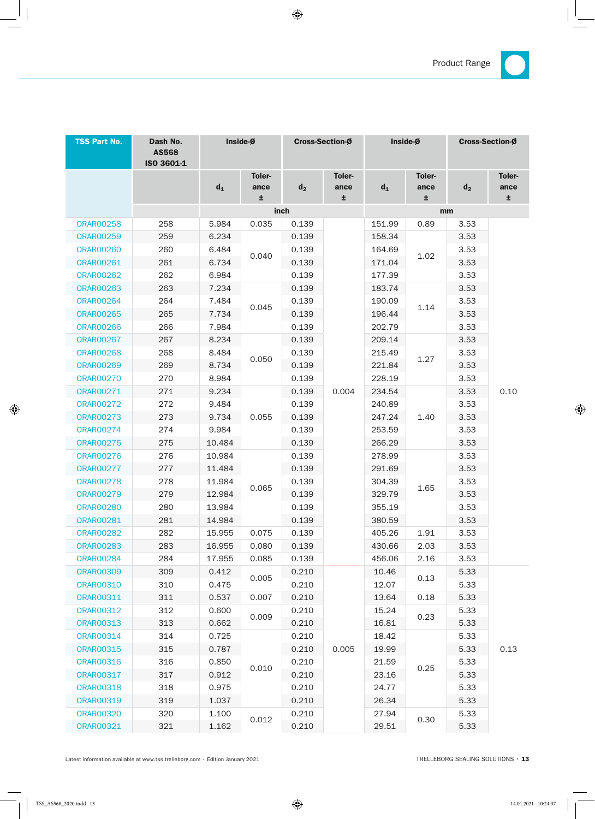

| <b>TSS Part No.</b> | Dash No.<br><b>AS568</b><br>ISO 3601-1 | Inside-Ø |                      | <b>Cross-Section-Ø</b> |                      | Inside-Ø |                            | <b>Cross-Section-Ø</b> |                      |  |
|---------------------|----------------------------------------|----------|----------------------|------------------------|----------------------|----------|----------------------------|------------------------|----------------------|--|
|                     |                                        | $d_1$    | Toler-<br>ance<br>±. | $d_2$                  | Toler-<br>ance<br>±. | $d_1$    | <b>Toler-</b><br>ance<br>土 | $d_2$                  | Toler-<br>ance<br>±. |  |
|                     |                                        |          |                      | inch                   |                      | mm       |                            |                        |                      |  |
| <b>ORAR00258</b>    | 258                                    | 5.984    | 0.035                | 0.139                  |                      | 151.99   | 0.89                       | 3.53                   |                      |  |
| <b>ORAR00259</b>    | 259                                    | 6.234    |                      | 0.139                  |                      | 158.34   |                            | 3.53                   |                      |  |
| <b>ORAR00260</b>    | 260                                    | 6.484    | 0.040                | 0.139                  |                      | 164.69   | 1.02                       | 3.53                   |                      |  |
| <b>ORAR00261</b>    | 261                                    | 6.734    |                      | 0.139                  |                      | 171.04   |                            | 3.53                   |                      |  |
| <b>ORAR00262</b>    | 262                                    | 6.984    |                      | 0.139                  |                      | 177.39   |                            | 3.53                   |                      |  |
| <b>ORAR00263</b>    | 263                                    | 7.234    |                      | 0.139                  |                      | 183.74   |                            | 3.53                   |                      |  |
| <b>ORAR00264</b>    | 264                                    | 7.484    | 0.045                | 0.139                  |                      | 190.09   | 1.14                       | 3.53                   |                      |  |
| <b>ORAR00265</b>    | 265                                    | 7.734    |                      | 0.139                  |                      | 196.44   |                            | 3.53                   |                      |  |
| <b>ORAR00266</b>    | 266                                    | 7.984    |                      | 0.139                  |                      | 202.79   |                            | 3.53                   |                      |  |
| <b>ORAR00267</b>    | 267                                    | 8.234    |                      | 0.139                  |                      | 209.14   |                            | 3.53                   |                      |  |
| <b>ORAR00268</b>    | 268                                    | 8.484    | 0.050                | 0.139                  |                      | 215.49   | 1.27                       | 3.53                   |                      |  |
| <b>ORAR00269</b>    | 269                                    | 8.734    |                      | 0.139                  |                      | 221.84   |                            | 3.53                   |                      |  |
| <b>ORAR00270</b>    | 270                                    | 8.984    |                      | 0.139                  |                      | 228.19   |                            | 3.53                   |                      |  |
| ORAR00271           | 271                                    | 9.234    |                      | 0.139                  | 0.004                | 234.54   |                            | 3.53                   | 0.10                 |  |
| <b>ORAR00272</b>    | 272                                    | 9.484    | 0.055                | 0.139                  |                      | 240.89   |                            | 3.53                   |                      |  |
| <b>ORAR00273</b>    | 273                                    | 9.734    |                      | 0.139                  |                      | 247.24   | 1.40                       | 3.53                   |                      |  |
| <b>ORAR00274</b>    | 274                                    | 9.984    |                      | 0.139                  |                      | 253.59   |                            | 3.53                   |                      |  |
| <b>ORAR00275</b>    | 275                                    | 10.484   |                      | 0.139                  |                      | 266.29   |                            | 3.53                   |                      |  |
| <b>ORAR00276</b>    | 276                                    | 10.984   |                      | 0.139                  |                      | 278.99   |                            | 3.53                   |                      |  |
| <b>ORAR00277</b>    | 277                                    | 11.484   |                      | 0.139                  |                      | 291.69   |                            | 3.53                   |                      |  |
| <b>ORAR00278</b>    | 278                                    | 11.984   | 0.065                | 0.139                  |                      | 304.39   | 1.65                       | 3.53                   |                      |  |
| <b>ORAR00279</b>    | 279                                    | 12.984   |                      | 0.139                  |                      | 329.79   |                            | 3.53                   |                      |  |
| <b>ORAR00280</b>    | 280                                    | 13.984   |                      | 0.139                  |                      | 355.19   |                            | 3.53                   |                      |  |
| <b>ORAR00281</b>    | 281                                    | 14.984   |                      | 0.139                  |                      | 380.59   |                            | 3.53                   |                      |  |
| <b>ORAR00282</b>    | 282                                    | 15.955   | 0.075                | 0.139                  |                      | 405.26   | 1.91                       | 3.53                   |                      |  |
| <b>ORAR00283</b>    | 283                                    | 16.955   | 0.080                | 0.139                  |                      | 430.66   | 2.03                       | 3.53                   |                      |  |
| <b>ORAR00284</b>    | 284                                    | 17.955   | 0.085                | 0.139                  |                      | 456.06   | 2.16                       | 3.53                   |                      |  |
| <b>ORAR00309</b>    | 309                                    | 0.412    | 0.005                | 0.210                  |                      | 10.46    | 0.13                       | 5.33                   |                      |  |
| <b>ORAR00310</b>    | 310                                    | 0.475    |                      | 0.210                  |                      | 12.07    |                            | 5.33                   |                      |  |
| <b>ORAR00311</b>    | 311                                    | 0.537    | 0.007                | 0.210                  |                      | 13.64    | 0.18                       | 5.33                   |                      |  |
| <b>ORAR00312</b>    | 312                                    | 0.600    | 0.009                | 0.210                  |                      | 15.24    | 0.23                       | 5.33                   |                      |  |
| <b>ORAR00313</b>    | 313                                    | 0.662    |                      | 0.210                  |                      | 16.81    |                            | 5.33                   |                      |  |
| <b>ORAR00314</b>    | 314                                    | 0.725    |                      | 0.210                  |                      | 18.42    |                            | 5.33                   |                      |  |
| <b>ORAR00315</b>    | 315                                    | 0.787    |                      | 0.210                  | 0.005                | 19.99    |                            | 5.33                   | 0.13                 |  |
| <b>ORAR00316</b>    | 316                                    | 0.850    | 0.010                | 0.210                  |                      | 21.59    | 0.25                       | 5.33                   |                      |  |
| <b>ORAR00317</b>    | 317                                    | 0.912    |                      | 0.210                  |                      | 23.16    |                            | 5.33                   |                      |  |
| <b>ORAR00318</b>    | 318                                    | 0.975    |                      | 0.210                  |                      | 24.77    |                            | 5.33                   |                      |  |
| <b>ORAR00319</b>    | 319                                    | 1.037    |                      | 0.210                  |                      | 26.34    |                            | 5.33                   |                      |  |
| <b>ORAR00320</b>    | 320                                    | 1.100    | 0.012                | 0.210                  |                      | 27.94    | 0.30                       | 5.33                   |                      |  |
| <b>ORAR00321</b>    | 321                                    | 1.162    |                      | 0.210                  |                      | 29.51    |                            | 5.33                   |                      |  |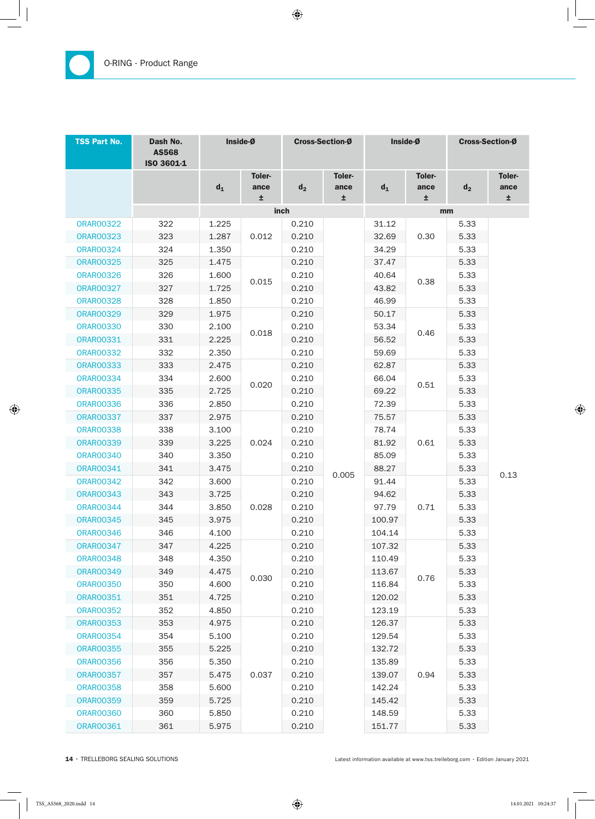| <b>TSS Part No.</b> | Dash No.<br><b>AS568</b><br>ISO 3601-1 |       | Inside-Ø                   | Cross-Section-Ø |                      | Inside-Ø |                     | Cross-Section-Ø |                      |
|---------------------|----------------------------------------|-------|----------------------------|-----------------|----------------------|----------|---------------------|-----------------|----------------------|
|                     |                                        | $d_1$ | <b>Toler-</b><br>ance<br>Ŧ | $d_2$           | Toler-<br>ance<br>±. | $d_1$    | Toler-<br>ance<br>Ŧ | $d_2$           | Toler-<br>ance<br>Ŧ. |
|                     |                                        |       |                            | inch            |                      |          |                     | mm              |                      |
| <b>ORAR00322</b>    | 322                                    | 1.225 |                            | 0.210           |                      | 31.12    |                     | 5.33            |                      |
| <b>ORAR00323</b>    | 323                                    | 1.287 | 0.012                      | 0.210           |                      | 32.69    | 0.30                | 5.33            |                      |
| <b>ORAR00324</b>    | 324                                    | 1.350 |                            | 0.210           |                      | 34.29    |                     | 5.33            |                      |
| <b>ORAR00325</b>    | 325                                    | 1.475 |                            | 0.210           |                      | 37.47    |                     | 5.33            |                      |
| <b>ORAR00326</b>    | 326                                    | 1.600 | 0.015                      | 0.210           |                      | 40.64    | 0.38                | 5.33            |                      |
| <b>ORAR00327</b>    | 327                                    | 1.725 |                            | 0.210           |                      | 43.82    |                     | 5.33            |                      |
| <b>ORAR00328</b>    | 328                                    | 1.850 |                            | 0.210           |                      | 46.99    |                     | 5.33            |                      |
| <b>ORAR00329</b>    | 329                                    | 1.975 |                            | 0.210           |                      | 50.17    |                     | 5.33            |                      |
| <b>ORAR00330</b>    | 330                                    | 2.100 | 0.018                      | 0.210           |                      | 53.34    |                     | 5.33            |                      |
| <b>ORAR00331</b>    | 331                                    | 2.225 |                            | 0.210           |                      | 56.52    | 0.46                | 5.33            |                      |
| <b>ORAR00332</b>    | 332                                    | 2.350 |                            | 0.210           |                      | 59.69    |                     | 5.33            |                      |
| <b>ORAR00333</b>    | 333                                    | 2.475 |                            | 0.210           |                      | 62.87    |                     | 5.33            |                      |
| <b>ORAR00334</b>    | 334                                    | 2.600 | 0.020                      | 0.210           |                      | 66.04    | 0.51                | 5.33            |                      |
| <b>ORAR00335</b>    | 335                                    | 2.725 |                            | 0.210           |                      | 69.22    |                     | 5.33            |                      |
| <b>ORAR00336</b>    | 336                                    | 2.850 |                            | 0.210           |                      | 72.39    |                     | 5.33            |                      |
| <b>ORAR00337</b>    | 337                                    | 2.975 |                            | 0.210           |                      | 75.57    | 0.61                | 5.33            |                      |
| <b>ORAR00338</b>    | 338                                    | 3.100 |                            | 0.210           |                      | 78.74    |                     | 5.33            |                      |
| <b>ORAR00339</b>    | 339                                    | 3.225 | 0.024                      | 0.210           |                      | 81.92    |                     | 5.33            |                      |
| <b>ORAR00340</b>    | 340                                    | 3.350 |                            | 0.210           |                      | 85.09    |                     | 5.33            | 0.13                 |
| <b>ORAR00341</b>    | 341                                    | 3.475 |                            | 0.210           | 0.005                | 88.27    |                     | 5.33            |                      |
| <b>ORAR00342</b>    | 342                                    | 3.600 |                            | 0.210           |                      | 91.44    |                     | 5.33            |                      |
| <b>ORAR00343</b>    | 343                                    | 3.725 |                            | 0.210           |                      | 94.62    |                     | 5.33            |                      |
| <b>ORAR00344</b>    | 344                                    | 3.850 | 0.028                      | 0.210           |                      | 97.79    | 0.71                | 5.33            |                      |
| <b>ORAR00345</b>    | 345                                    | 3.975 |                            | 0.210           |                      | 100.97   |                     | 5.33            |                      |
| <b>ORAR00346</b>    | 346                                    | 4.100 |                            | 0.210           |                      | 104.14   |                     | 5.33            |                      |
| <b>ORAR00347</b>    | 347                                    | 4.225 |                            | 0.210           |                      | 107.32   |                     | 5.33            |                      |
| <b>ORAR00348</b>    | 348                                    | 4.350 |                            | 0.210           |                      | 110.49   |                     | 5.33            |                      |
| <b>ORAR00349</b>    | 349                                    | 4.475 | 0.030                      | 0.210           |                      | 113.67   | 0.76                | 5.33            |                      |
| <b>ORAR00350</b>    | 350                                    | 4.600 |                            | 0.210           |                      | 116.84   |                     | 5.33            |                      |
| <b>ORAR00351</b>    | 351                                    | 4.725 |                            | 0.210           |                      | 120.02   |                     | 5.33            |                      |
| <b>ORAR00352</b>    | 352                                    | 4.850 |                            | 0.210           |                      | 123.19   |                     | 5.33            |                      |
| <b>ORAR00353</b>    | 353                                    | 4.975 |                            | 0.210           |                      | 126.37   |                     | 5.33            |                      |
| <b>ORAR00354</b>    | 354                                    | 5.100 |                            | 0.210           |                      | 129.54   |                     | 5.33            |                      |
| <b>ORAR00355</b>    | 355                                    | 5.225 |                            | 0.210           |                      | 132.72   |                     | 5.33            |                      |
| <b>ORAR00356</b>    | 356                                    | 5.350 |                            | 0.210           |                      | 135.89   |                     | 5.33            |                      |
| <b>ORAR00357</b>    | 357                                    | 5.475 | 0.037                      | 0.210           |                      | 139.07   | 0.94                | 5.33            |                      |
| <b>ORAR00358</b>    | 358                                    | 5.600 |                            | 0.210           |                      | 142.24   |                     | 5.33            |                      |
| <b>ORAR00359</b>    | 359                                    | 5.725 |                            | 0.210           |                      | 145.42   |                     | 5.33            |                      |
| <b>ORAR00360</b>    | 360                                    | 5.850 |                            | 0.210           |                      | 148.59   |                     | 5.33            |                      |
| <b>ORAR00361</b>    | 361                                    | 5.975 |                            | 0.210           |                      | 151.77   |                     | 5.33            |                      |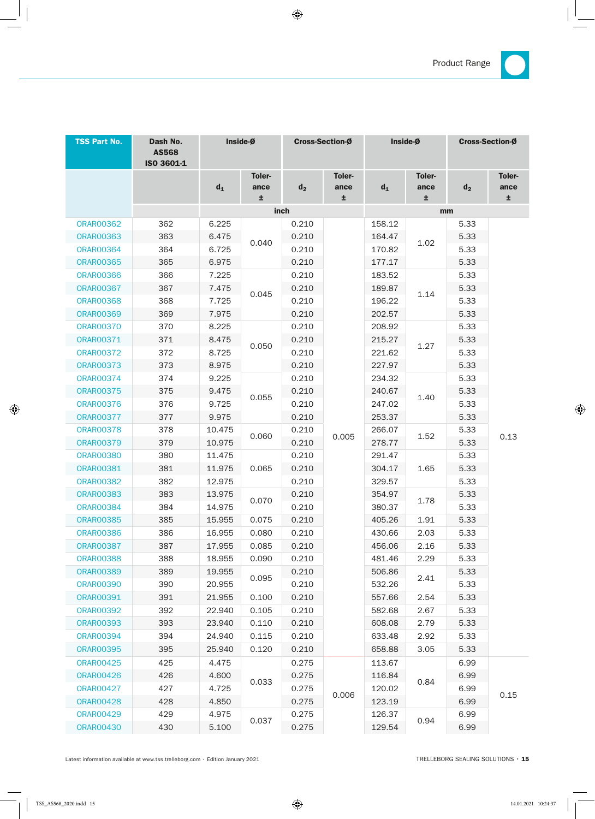

| <b>TSS Part No.</b> | Dash No.<br><b>AS568</b><br>ISO 3601-1 | Inside-Ø |                       | <b>Cross-Section-Ø</b> |                | Inside-Ø |                       | <b>Cross-Section-Ø</b> |                       |
|---------------------|----------------------------------------|----------|-----------------------|------------------------|----------------|----------|-----------------------|------------------------|-----------------------|
|                     |                                        | $d_1$    | <b>Toler-</b><br>ance | d <sub>2</sub>         | Toler-<br>ance | $d_1$    | <b>Toler-</b><br>ance | $d_2$                  | <b>Toler-</b><br>ance |
|                     |                                        |          | ±.                    |                        | ±.             |          | ±.                    |                        | ±.                    |
|                     |                                        |          |                       | inch                   |                | mm       |                       |                        |                       |
| <b>ORAR00362</b>    | 362                                    | 6.225    |                       | 0.210                  |                | 158.12   |                       | 5.33                   |                       |
| <b>ORAR00363</b>    | 363                                    | 6.475    | 0.040                 | 0.210                  |                | 164.47   | 1.02<br>1.14          | 5.33                   |                       |
| <b>ORAR00364</b>    | 364                                    | 6.725    |                       | 0.210                  |                | 170.82   |                       | 5.33                   |                       |
| <b>ORAR00365</b>    | 365                                    | 6.975    |                       | 0.210                  |                | 177.17   |                       | 5.33                   |                       |
| <b>ORAR00366</b>    | 366                                    | 7.225    |                       | 0.210                  |                | 183.52   |                       | 5.33                   |                       |
| <b>ORAR00367</b>    | 367                                    | 7.475    | 0.045                 | 0.210                  |                | 189.87   |                       | 5.33                   |                       |
| <b>ORAR00368</b>    | 368                                    | 7.725    |                       | 0.210                  |                | 196.22   |                       | 5.33                   |                       |
| <b>ORAR00369</b>    | 369                                    | 7.975    |                       | 0.210                  |                | 202.57   |                       | 5.33                   |                       |
| <b>ORAR00370</b>    | 370                                    | 8.225    |                       | 0.210                  |                | 208.92   |                       | 5.33                   | 0.13                  |
| <b>ORAR00371</b>    | 371                                    | 8.475    | 0.050                 | 0.210                  |                | 215.27   | 1.27                  | 5.33                   |                       |
| <b>ORAR00372</b>    | 372                                    | 8.725    |                       | 0.210                  |                | 221.62   |                       | 5.33                   |                       |
| <b>ORAR00373</b>    | 373                                    | 8.975    |                       | 0.210                  |                | 227.97   |                       | 5.33                   |                       |
| <b>ORAR00374</b>    | 374                                    | 9.225    |                       | 0.210                  |                | 234.32   | 1.40                  | 5.33                   |                       |
| <b>ORAR00375</b>    | 375                                    | 9.475    | 0.055                 | 0.210                  |                | 240.67   |                       | 5.33                   |                       |
| <b>ORAR00376</b>    | 376                                    | 9.725    |                       | 0.210                  |                | 247.02   |                       | 5.33                   |                       |
| <b>ORAR00377</b>    | 377                                    | 9.975    |                       | 0.210                  |                | 253.37   |                       | 5.33                   |                       |
| <b>ORAR00378</b>    | 378                                    | 10.475   |                       | 0.210                  |                | 266.07   | 1.52                  | 5.33                   |                       |
| <b>ORAR00379</b>    | 379                                    | 10.975   | 0.060                 | 0.210                  | 0.005          | 278.77   |                       | 5.33                   |                       |
| <b>ORAR00380</b>    | 380                                    | 11.475   | 0.065                 | 0.210                  |                | 291.47   | 1.65                  | 5.33                   |                       |
| <b>ORAR00381</b>    | 381                                    | 11.975   |                       | 0.210                  |                | 304.17   |                       | 5.33                   |                       |
| <b>ORAR00382</b>    | 382                                    | 12.975   |                       | 0.210                  |                | 329.57   |                       | 5.33                   |                       |
| <b>ORAR00383</b>    | 383                                    | 13.975   |                       | 0.210                  |                | 354.97   |                       | 5.33                   |                       |
| <b>ORAR00384</b>    | 384                                    | 14.975   | 0.070                 | 0.210                  |                | 380.37   | 1.78                  | 5.33                   |                       |
| <b>ORAR00385</b>    | 385                                    | 15.955   | 0.075                 | 0.210                  |                | 405.26   | 1.91                  | 5.33                   |                       |
| 0RAR00386           | 386                                    | 16.955   | 0.080                 | 0.210                  |                | 430.66   | 2.03                  | 5.33                   |                       |
| <b>ORAR00387</b>    | 387                                    | 17.955   | 0.085                 | 0.210                  |                | 456.06   | 2.16                  | 5.33                   |                       |
| <b>ORAR00388</b>    | 388                                    | 18.955   | 0.090                 | 0.210                  |                | 481.46   | 2.29                  | 5.33                   |                       |
| <b>ORAR00389</b>    | 389                                    | 19.955   |                       | 0.210                  |                | 506.86   | 2.41                  | 5.33                   |                       |
| <b>ORAR00390</b>    | 390                                    | 20.955   | 0.095                 | 0.210                  |                | 532.26   |                       | 5.33                   |                       |
| <b>ORAR00391</b>    | 391                                    | 21.955   | 0.100                 | 0.210                  |                | 557.66   | 2.54                  | 5.33                   |                       |
| <b>ORAR00392</b>    | 392                                    | 22.940   | 0.105                 | 0.210                  |                | 582.68   | 2.67                  | 5.33                   |                       |
| <b>ORAR00393</b>    | 393                                    | 23.940   | 0.110                 | 0.210                  |                | 608.08   | 2.79                  | 5.33                   |                       |
| <b>ORAR00394</b>    | 394                                    | 24.940   | 0.115                 | 0.210                  |                | 633.48   | 2.92                  | 5.33                   |                       |
| <b>ORAR00395</b>    | 395                                    | 25.940   | 0.120                 | 0.210                  |                | 658.88   | 3.05                  | 5.33                   |                       |
| <b>ORAR00425</b>    | 425                                    | 4.475    |                       | 0.275                  |                | 113.67   |                       | 6.99                   |                       |
| <b>ORAR00426</b>    | 426                                    | 4.600    |                       | 0.275                  |                | 116.84   | 0.84                  | 6.99                   |                       |
| <b>ORAR00427</b>    | 427                                    | 4.725    | 0.033                 | 0.275                  |                | 120.02   |                       | 6.99                   |                       |
| <b>ORAR00428</b>    | 428                                    | 4.850    |                       | 0.275                  | 0.006          | 123.19   |                       | 6.99                   | 0.15                  |
| <b>ORAR00429</b>    | 429                                    | 4.975    |                       | 0.275                  |                | 126.37   |                       | 6.99                   |                       |
| <b>ORAR00430</b>    | 430                                    | 5.100    | 0.037                 | 0.275                  |                | 129.54   | 0.94                  | 6.99                   |                       |
|                     |                                        |          |                       |                        |                |          |                       |                        |                       |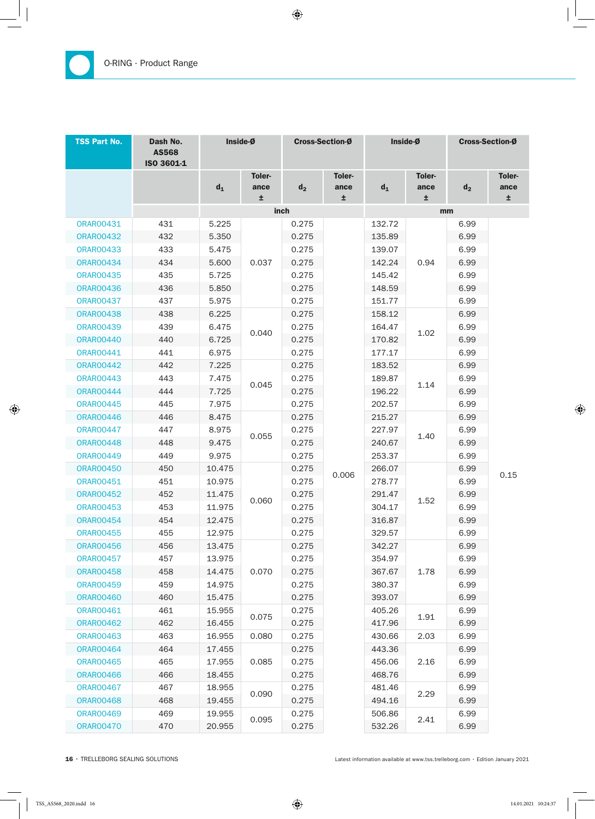| <b>TSS Part No.</b> | Dash No.<br><b>AS568</b><br>ISO 3601-1 | Inside-Ø |                      | Cross-Section-Ø |                             | Inside-Ø         |                            | Cross-Section-Ø |                             |
|---------------------|----------------------------------------|----------|----------------------|-----------------|-----------------------------|------------------|----------------------------|-----------------|-----------------------------|
|                     |                                        | $d_1$    | Toler-<br>ance<br>±. | $d_2$           | <b>Toler-</b><br>ance<br>±. | $d_1$            | <b>Toler-</b><br>ance<br>Ŧ | $d_2$           | <b>Toler-</b><br>ance<br>Ŧ. |
|                     |                                        |          |                      | inch            |                             |                  | mm                         |                 |                             |
| <b>ORAR00431</b>    | 431                                    | 5.225    |                      | 0.275           |                             | 132.72           |                            | 6.99            |                             |
| <b>ORAR00432</b>    | 432                                    | 5.350    |                      | 0.275           |                             | 135.89           |                            | 6.99            |                             |
| <b>ORAR00433</b>    | 433                                    | 5.475    |                      | 0.275           |                             | 139.07           |                            | 6.99            |                             |
| <b>ORAR00434</b>    | 434                                    | 5.600    | 0.037                | 0.275           |                             | 142.24           | 0.94                       | 6.99            |                             |
| <b>ORAR00435</b>    | 435                                    | 5.725    |                      | 0.275           |                             | 145.42           |                            | 6.99            |                             |
| <b>ORAR00436</b>    | 436                                    | 5.850    |                      | 0.275           |                             | 148.59           |                            | 6.99            |                             |
| <b>ORAR00437</b>    | 437                                    | 5.975    |                      | 0.275           |                             | 151.77           |                            | 6.99            |                             |
| <b>ORAR00438</b>    | 438                                    | 6.225    |                      | 0.275           |                             | 158.12           |                            | 6.99            | 0.15                        |
| <b>ORAR00439</b>    | 439                                    | 6.475    | 0.040                | 0.275           |                             | 164.47           |                            | 6.99            |                             |
| <b>ORAR00440</b>    | 440                                    | 6.725    |                      | 0.275           |                             | 170.82           | 1.02                       | 6.99            |                             |
| <b>ORAR00441</b>    | 441                                    | 6.975    |                      | 0.275           |                             | 177.17           |                            | 6.99            |                             |
| <b>ORAR00442</b>    | 442                                    | 7.225    |                      | 0.275           |                             | 183.52           |                            | 6.99            |                             |
| <b>ORAR00443</b>    | 443                                    | 7.475    | 0.045                | 0.275           |                             | 189.87           | 1.14                       | 6.99            |                             |
| <b>ORAR00444</b>    | 444                                    | 7.725    |                      | 0.275           |                             | 196.22           |                            | 6.99            |                             |
| <b>ORAR00445</b>    | 445                                    | 7.975    |                      | 0.275           |                             | 202.57           |                            | 6.99            |                             |
| <b>ORAR00446</b>    | 446                                    | 8.475    | 0.055                | 0.275           |                             | 215.27           |                            | 6.99            |                             |
| <b>ORAR00447</b>    | 447                                    | 8.975    |                      | 0.275           |                             | 227.97           | 1.40                       | 6.99            |                             |
| <b>ORAR00448</b>    | 448                                    | 9.475    |                      | 0.275           |                             | 240.67           |                            | 6.99            |                             |
| <b>ORAR00449</b>    | 449                                    | 9.975    |                      | 0.275           |                             | 253.37           |                            | 6.99            |                             |
| <b>ORAR00450</b>    | 450                                    | 10.475   |                      | 0.275           | 0.006                       | 266.07           | 1.52                       | 6.99            |                             |
| <b>ORAR00451</b>    | 451                                    | 10.975   |                      | 0.275           |                             | 278.77           |                            | 6.99            |                             |
| <b>ORAR00452</b>    | 452                                    | 11.475   | 0.060                | 0.275           |                             | 291.47           |                            | 6.99            |                             |
| <b>ORAR00453</b>    | 453                                    | 11.975   |                      | 0.275           |                             | 304.17           |                            | 6.99            |                             |
| <b>ORAR00454</b>    | 454                                    | 12.475   |                      | 0.275           |                             | 316.87<br>329.57 |                            | 6.99            |                             |
| <b>ORAR00455</b>    | 455                                    | 12.975   |                      | 0.275           |                             |                  |                            | 6.99            |                             |
| <b>ORAR00456</b>    | 456                                    | 13.475   |                      | 0.275           |                             | 342.27           | 1.78<br>1.91               | 6.99            |                             |
| <b>ORAR00457</b>    | 457                                    | 13.975   |                      | 0.275           |                             | 354.97           |                            | 6.99            |                             |
| <b>ORAR00458</b>    | 458                                    | 14.475   | 0.070                | 0.275           |                             | 367.67           |                            | 6.99            |                             |
| <b>ORAR00459</b>    | 459                                    | 14.975   |                      | 0.275           |                             | 380.37           |                            | 6.99            |                             |
| <b>ORAR00460</b>    | 460                                    | 15.475   |                      | 0.275           |                             | 393.07           |                            | 6.99            |                             |
| <b>ORAR00461</b>    | 461                                    | 15.955   | 0.075                | 0.275           |                             | 405.26           |                            | 6.99            |                             |
| <b>ORAR00462</b>    | 462                                    | 16.455   |                      | 0.275           |                             | 417.96           |                            | 6.99            |                             |
| <b>ORAR00463</b>    | 463                                    | 16.955   | 0.080                | 0.275           |                             | 430.66           | 2.03                       | 6.99            |                             |
| <b>ORAR00464</b>    | 464                                    | 17.455   |                      | 0.275           |                             | 443.36           | 2.16                       | 6.99            |                             |
| <b>ORAR00465</b>    | 465                                    | 17.955   | 0.085                | 0.275           |                             | 456.06           |                            | 6.99            |                             |
| <b>ORAR00466</b>    | 466                                    | 18.455   |                      | 0.275           |                             | 468.76           |                            | 6.99            |                             |
| <b>ORAR00467</b>    | 467                                    | 18.955   | 0.090                | 0.275           |                             | 481.46           | 2.29                       | 6.99            |                             |
| <b>ORAR00468</b>    | 468                                    | 19.455   |                      | 0.275           |                             | 494.16           |                            | 6.99            |                             |
| <b>ORAR00469</b>    | 469                                    | 19.955   | 0.095                | 0.275           |                             | 506.86           | 2.41                       | 6.99            |                             |
| <b>ORAR00470</b>    | 470                                    | 20.955   |                      | 0.275           |                             | 532.26           |                            | 6.99            |                             |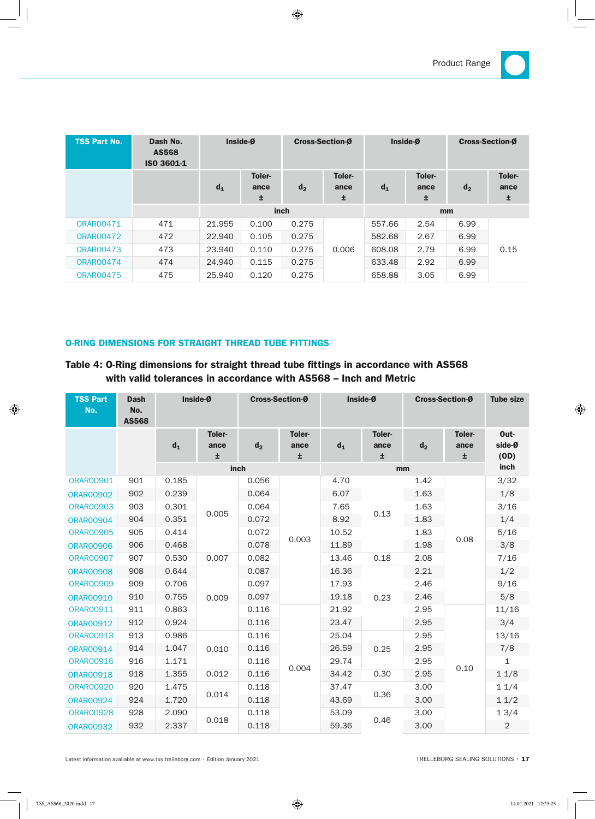| <b>TSS Part No.</b> | Dash No.<br><b>AS568</b><br>ISO 3601-1 | Inside-Ø |                     | <b>Cross-Section-Ø</b> |                     | Inside-Ø |                            | <b>Cross-Section-Ø</b> |                     |  |
|---------------------|----------------------------------------|----------|---------------------|------------------------|---------------------|----------|----------------------------|------------------------|---------------------|--|
|                     |                                        | $d_1$    | Toler-<br>ance<br>± | d <sub>2</sub>         | Toler-<br>ance<br>± | $d_1$    | <b>Toler-</b><br>ance<br>土 | d <sub>2</sub>         | Toler-<br>ance<br>Ŧ |  |
|                     |                                        | inch     |                     |                        |                     | mm       |                            |                        |                     |  |
| <b>ORAR00471</b>    | 471                                    | 21.955   | 0.100               | 0.275                  | 0.006               | 557.66   | 2.54                       | 6.99                   | 0.15                |  |
| <b>ORAR00472</b>    | 472                                    | 22.940   | 0.105               | 0.275                  |                     | 582.68   | 2.67                       | 6.99                   |                     |  |
| <b>ORAR00473</b>    | 473                                    | 23.940   | 0.110               | 0.275                  |                     | 608.08   | 2.79                       | 6.99                   |                     |  |
| <b>ORAR00474</b>    | 474                                    | 24.940   | 0.115               | 0.275                  |                     | 633.48   | 2.92                       | 6.99                   |                     |  |
| <b>ORAR00475</b>    | 475                                    | 25,940   | 0.120               | 0.275                  |                     | 658.88   | 3.05                       | 6.99                   |                     |  |

### O-RInG DIMEnSIOnS FOR STRAIGhT ThREAD TuBE FITTInGS

## Table 4: O-Ring dimensions for straight thread tube fittings in accordance with AS568 with valid tolerances in accordance with AS568 – Inch and Metric

| <b>TSS Part</b><br>No. | <b>Dash</b><br>No.<br><b>AS568</b> | Inside-Ø |                      | <b>Cross-Section-Ø</b> |                      | Inside-Ø |                      | <b>Cross-Section-Ø</b> |                     | <b>Tube size</b>       |
|------------------------|------------------------------------|----------|----------------------|------------------------|----------------------|----------|----------------------|------------------------|---------------------|------------------------|
|                        |                                    | $d_1$    | Toler-<br>ance<br>Ŧ. | d <sub>2</sub>         | Toler-<br>ance<br>±. | $d_1$    | Toler-<br>ance<br>±. | d <sub>2</sub>         | Toler-<br>ance<br>Ŧ | Out-<br>side-Ø<br>(OD) |
|                        |                                    |          |                      | inch                   |                      |          | inch                 |                        |                     |                        |
| <b>ORAR00901</b>       | 901                                | 0.185    |                      | 0.056                  | 0.003                | 4.70     | 0.13                 | 1.42                   | 0.08<br>0.10        | 3/32                   |
| <b>ORAR00902</b>       | 902                                | 0.239    |                      | 0.064                  |                      | 6.07     |                      | 1.63                   |                     | 1/8                    |
| <b>ORAR00903</b>       | 903                                | 0.301    |                      | 0.064                  |                      | 7.65     |                      | 1.63                   |                     | 3/16                   |
| <b>ORAR00904</b>       | 904                                | 0.351    | 0.005                | 0.072                  |                      | 8.92     |                      | 1.83                   |                     | 1/4                    |
| <b>ORAR00905</b>       | 905                                | 0.414    | 0.007                | 0.072                  |                      | 10.52    |                      | 1.83                   |                     | 5/16                   |
| <b>ORAR00906</b>       | 906                                | 0.468    |                      | 0.078                  |                      | 11.89    |                      | 1.98                   |                     | 3/8                    |
| <b>ORAR00907</b>       | 907                                | 0.530    |                      | 0.082                  |                      | 13.46    | 0.18                 | 2.08                   |                     | 7/16                   |
| <b>ORAR00908</b>       | 908                                | 0.644    |                      | 0.087                  |                      | 16.36    | 0.23                 | 2.21                   |                     | 1/2                    |
| <b>ORAR00909</b>       | 909                                | 0.706    | 0.009                | 0.097                  |                      | 17.93    |                      | 2.46                   |                     | 9/16                   |
| <b>ORAR00910</b>       | 910                                | 0.755    |                      | 0.097                  |                      | 19.18    |                      | 2.46                   |                     | 5/8                    |
| <b>ORAR00911</b>       | 911                                | 0.863    |                      | 0.116                  |                      | 21.92    |                      | 2.95                   |                     | 11/16                  |
| <b>ORAR00912</b>       | 912                                | 0.924    |                      | 0.116                  |                      | 23.47    |                      | 2.95                   |                     | 3/4                    |
| <b>ORAR00913</b>       | 913                                | 0.986    |                      | 0.116                  |                      | 25.04    | 0.25                 | 2.95                   |                     | 13/16                  |
| <b>ORAR00914</b>       | 914                                | 1.047    | 0.010                | 0.116                  |                      | 26.59    |                      | 2.95                   |                     | 7/8                    |
| <b>ORAR00916</b>       | 916                                | 1.171    |                      | 0.116                  |                      | 29.74    |                      | 2.95                   |                     | $\mathbf{1}$           |
| <b>ORAR00918</b>       | 918                                | 1.355    | 0.012<br>0.014       | 0.116                  | 0.004                | 34.42    | 0.30                 | 2.95                   |                     | 11/8                   |
| <b>ORAR00920</b>       | 920                                | 1.475    |                      | 0.118                  |                      | 37.47    | 0.36                 | 3.00                   |                     | 11/4                   |
| <b>ORAR00924</b>       | 924                                | 1.720    |                      | 0.118                  |                      | 43.69    |                      | 3.00                   |                     | 11/2                   |
| <b>ORAR00928</b>       | 928                                | 2.090    |                      | 0.118                  |                      | 53.09    |                      | 3.00                   |                     | 13/4                   |
| <b>ORAR00932</b>       | 932                                | 2.337    | 0.018                | 0.118                  |                      | 59.36    | 0.46                 | 3.00                   |                     | $\overline{2}$         |